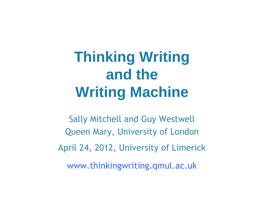## **Thinking Writing and the Writing Machine**

Sally Mitchell and Guy Westwell Queen Mary, University of London April 24, 2012, University of Limerick www.thinkingwriting.qmul.ac.uk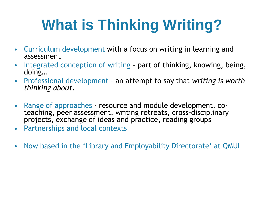## **What is Thinking Writing?**

- Curriculum development with a focus on writing in learning and assessment
- Integrated conception of writing part of thinking, knowing, being, doing…
- Professional development an attempt to say that *writing is worth thinking about*.
- Range of approaches resource and module development, coteaching, peer assessment, writing retreats, cross-disciplinary projects, exchange of ideas and practice, reading groups
- Partnerships and local contexts
- Now based in the 'Library and Employability Directorate' at QMUL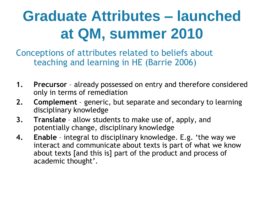## **Graduate Attributes – launched at QM, summer 2010**

Conceptions of attributes related to beliefs about teaching and learning in HE (Barrie 2006)

- **1. Precursor** already possessed on entry and therefore considered only in terms of remediation
- **2. Complement** generic, but separate and secondary to learning disciplinary knowledge
- **3. Translate** allow students to make use of, apply, and potentially change, disciplinary knowledge
- **4. Enable**  integral to disciplinary knowledge. E.g. 'the way we interact and communicate about texts is part of what we know about texts [and this is] part of the product and process of academic thought'.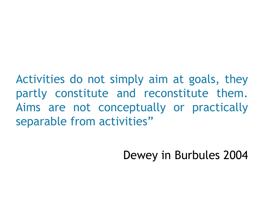Activities do not simply aim at goals, they partly constitute and reconstitute them. Aims are not conceptually or practically separable from activities"

Dewey in Burbules 2004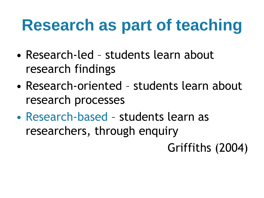# **Research as part of teaching**

- Research-led students learn about research findings
- Research-oriented students learn about research processes
- Research-based students learn as researchers, through enquiry

Griffiths (2004)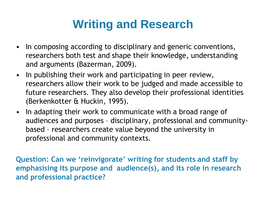#### **Writing and Research**

- In composing according to disciplinary and generic conventions, researchers both test and shape their knowledge, understanding and arguments (Bazerman, 2009).
- In publishing their work and participating in peer review, researchers allow their work to be judged and made accessible to future researchers. They also develop their professional identities (Berkenkotter & Huckin, 1995).
- In adapting their work to communicate with a broad range of audiences and purposes – disciplinary, professional and communitybased – researchers create value beyond the university in professional and community contexts.

**Question: Can we 'reinvigorate' writing for students and staff by emphasising its purpose and audience(s), and its role in research and professional practice?**